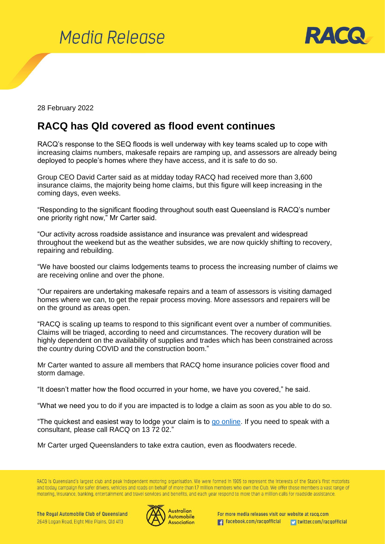



28 February 2022

## **RACQ has Qld covered as flood event continues**

RACQ's response to the SEQ floods is well underway with key teams scaled up to cope with increasing claims numbers, makesafe repairs are ramping up, and assessors are already being deployed to people's homes where they have access, and it is safe to do so.

Group CEO David Carter said as at midday today RACQ had received more than 3,600 insurance claims, the majority being home claims, but this figure will keep increasing in the coming days, even weeks.

"Responding to the significant flooding throughout south east Queensland is RACQ's number one priority right now," Mr Carter said.

"Our activity across roadside assistance and insurance was prevalent and widespread throughout the weekend but as the weather subsides, we are now quickly shifting to recovery, repairing and rebuilding.

"We have boosted our claims lodgements teams to process the increasing number of claims we are receiving online and over the phone.

"Our repairers are undertaking makesafe repairs and a team of assessors is visiting damaged homes where we can, to get the repair process moving. More assessors and repairers will be on the ground as areas open.

"RACQ is scaling up teams to respond to this significant event over a number of communities. Claims will be triaged, according to need and circumstances. The recovery duration will be highly dependent on the availability of supplies and trades which has been constrained across the country during COVID and the construction boom."

Mr Carter wanted to assure all members that RACQ home insurance policies cover flood and storm damage.

"It doesn't matter how the flood occurred in your home, we have you covered," he said.

"What we need you to do if you are impacted is to lodge a claim as soon as you able to do so.

"The quickest and easiest way to lodge your claim is to go [online.](https://www.racq.com.au/help-contact/weather-damage-claims) If you need to speak with a consultant, please call RACQ on 13 72 02."

Mr Carter urged Queenslanders to take extra caution, even as floodwaters recede.

RACQ is Queensland's largest club and peak independent motoring organisation. We were formed in 1905 to represent the interests of the State's first motorists and today campaign for safer drivers, vehicles and roads on behalf of more than 1.7 million members who own the Club. We offer those members a vast range of motoring, insurance, banking, entertainment and travel services and benefits, and each year respond to more than a million calls for roadside assistance.